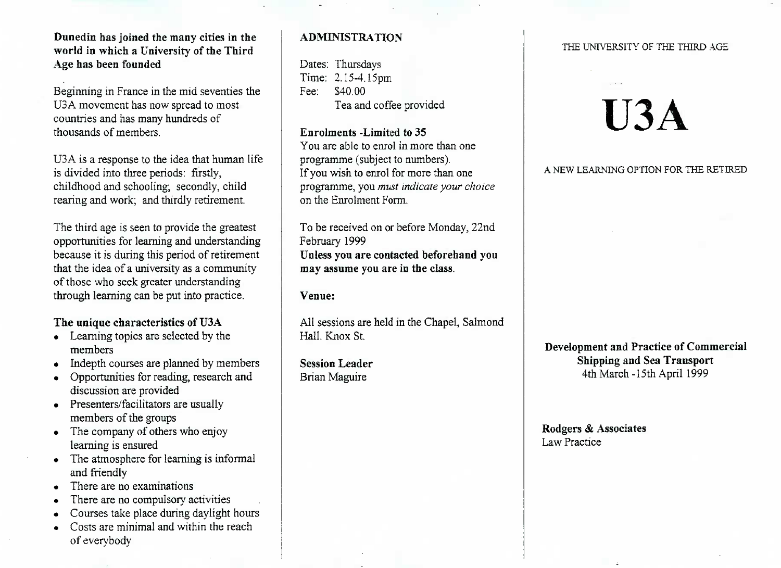Dunedin **has joined the many cities in the world in which a University of the ThirdAge has been founded**

Beginning in France in the mid seventies theU3A movement has now spread to mostcountries and has many hundreds ofthousands of members.

U3A is a response to the idea that human lifeis divided into three periods: firstly, childhood and schooling; secondly, childrearing and work; and thirdly retirement.

The third age is seen to provide the greatest opportunities for learning and understanding because it is during this period of retirement that the idea of a university as a communityof those who seek greater understandingthrough learning can be put into practice.

# **The unique characteristics of U3A**

- Learning topics are selected by the members
- Indepth courses are planned by members
- Opportunities for reading, research anddiscussion are provided
- Presenters/facilitators are usually members of the groups
- The company of others who enjoylearning is ensured
- The atmosphere for learning is informal and friendly
- There are no examinations
- There are no compulsory activities
- Courses take place during daylight hours
- Costs are minimal and within the reachof evervbodv

# **ADMINISTRATION**

Dates: Thursdays Time: 2.15-4.15pmFee: S40.00Tea and coffee provided

## **Enrolments -Limited to 35**

 You are able to enrol in more than oneprogramme (subject to numbers). If you wish to enrol for more than one programme, you *must indicate your choice*on the Enrolment Form.

To be received on or before Monday, 22ndFebruary 1999 **Unless you are contacted beforehand youmay assume you are in the class.**

## **Venue:**

All sessions are held in the Chapel, SalmondHall. Knox St.

**Session Leader**Brian Maguire

#### THE UNIVERSITY OF THE THIRD AGE

# **U3A**

#### A NEW LEARNING OPTION FOR THE RETIRED

**Development and Practice of CommercialShipping and Sea Transport**4th March -15th April 1999

**Rodgers & Associates** Law Practice